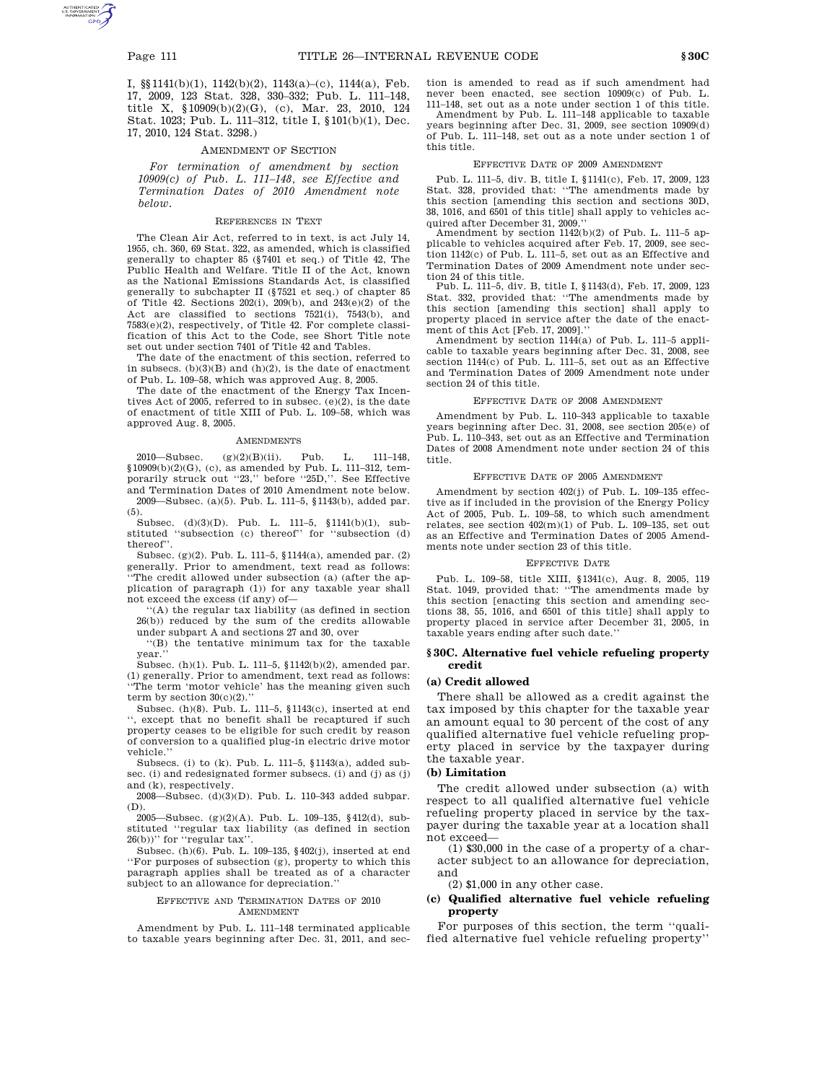I, §§1141(b)(1), 1142(b)(2), 1143(a)–(c), 1144(a), Feb. 17, 2009, 123 Stat. 328, 330–332; Pub. L. 111–148, title X, §10909(b)(2)(G), (c), Mar. 23, 2010, 124 Stat. 1023; Pub. L. 111–312, title I, §101(b)(1), Dec. 17, 2010, 124 Stat. 3298.)

#### AMENDMENT OF SECTION

*For termination of amendment by section 10909(c) of Pub. L. 111–148, see Effective and Termination Dates of 2010 Amendment note below.*

#### REFERENCES IN TEXT

The Clean Air Act, referred to in text, is act July 14, 1955, ch. 360, 69 Stat. 322, as amended, which is classified generally to chapter 85 (§7401 et seq.) of Title 42, The Public Health and Welfare. Title II of the Act, known as the National Emissions Standards Act, is classified generally to subchapter II (§7521 et seq.) of chapter 85 of Title 42. Sections 202(i), 209(b), and 243(e)(2) of the Act are classified to sections 7521(i), 7543(b), and 7583(e)(2), respectively, of Title 42. For complete classification of this Act to the Code, see Short Title note set out under section 7401 of Title 42 and Tables.

The date of the enactment of this section, referred to in subsecs.  $(b)(3)(B)$  and  $(h)(2)$ , is the date of enactment of Pub. L. 109–58, which was approved Aug. 8, 2005.

The date of the enactment of the Energy Tax Incentives Act of 2005, referred to in subsec. (e)(2), is the date of enactment of title XIII of Pub. L. 109–58, which was approved Aug. 8, 2005.

#### AMENDMENTS

2010—Subsec. (g)(2)(B)(ii). Pub. L. 111–148, §10909(b)(2)(G), (c), as amended by Pub. L. 111–312, temporarily struck out ''23,'' before ''25D,''. See Effective and Termination Dates of 2010 Amendment note below. 2009—Subsec. (a)(5). Pub. L. 111–5, §1143(b), added par. (5).

Subsec. (d)(3)(D). Pub. L. 111–5, §1141(b)(1), substituted ''subsection (c) thereof'' for ''subsection (d) thereof''.

Subsec. (g)(2). Pub. L. 111–5, §1144(a), amended par. (2) generally. Prior to amendment, text read as follows: The credit allowed under subsection (a) (after the application of paragraph (1)) for any taxable year shall not exceed the excess (if any) of—

''(A) the regular tax liability (as defined in section 26(b)) reduced by the sum of the credits allowable under subpart A and sections 27 and 30, over

''(B) the tentative minimum tax for the taxable year.''

Subsec. (h)(1). Pub. L. 111–5, §1142(b)(2), amended par. (1) generally. Prior to amendment, text read as follows: ''The term 'motor vehicle' has the meaning given such term by section  $30(c)(2)$ .

Subsec. (h)(8). Pub. L. 111–5, §1143(c), inserted at end '', except that no benefit shall be recaptured if such property ceases to be eligible for such credit by reason of conversion to a qualified plug-in electric drive motor vehicle.''

Subsecs. (i) to (k). Pub. L. 111–5, §1143(a), added subsec. (i) and redesignated former subsecs. (i) and (j) as (j) and (k), respectively.

2008—Subsec. (d)(3)(D). Pub. L. 110–343 added subpar. (D).

2005—Subsec. (g)(2)(A). Pub. L. 109–135, §412(d), substituted ''regular tax liability (as defined in section 26(b))'' for ''regular tax''.

Subsec. (h)(6). Pub. L. 109–135, §402(j), inserted at end ''For purposes of subsection (g), property to which this paragraph applies shall be treated as of a character subject to an allowance for depreciation.''

#### EFFECTIVE AND TERMINATION DATES OF 2010 AMENDMENT

Amendment by Pub. L. 111–148 terminated applicable to taxable years beginning after Dec. 31, 2011, and section is amended to read as if such amendment had never been enacted, see section 10909(c) of Pub. L. 111–148, set out as a note under section 1 of this title.

Amendment by Pub. L. 111–148 applicable to taxable years beginning after Dec. 31, 2009, see section 10909(d) of Pub. L. 111–148, set out as a note under section 1 of this title.

#### EFFECTIVE DATE OF 2009 AMENDMENT

Pub. L. 111–5, div. B, title I, §1141(c), Feb. 17, 2009, 123 Stat. 328, provided that: ''The amendments made by this section [amending this section and sections 30D, 38, 1016, and 6501 of this title] shall apply to vehicles acquired after December 31, 2009.''

Amendment by section 1142(b)(2) of Pub. L. 111–5 applicable to vehicles acquired after Feb. 17, 2009, see section 1142(c) of Pub. L. 111–5, set out as an Effective and Termination Dates of 2009 Amendment note under section 24 of this title.

Pub. L. 111–5, div. B, title I, §1143(d), Feb. 17, 2009, 123 Stat. 332, provided that: ''The amendments made by this section [amending this section] shall apply to property placed in service after the date of the enact-

ment of this Act [Feb. 17, 2009].'' Amendment by section 1144(a) of Pub. L. 111–5 applicable to taxable years beginning after Dec. 31, 2008, see section 1144(c) of Pub. L. 111–5, set out as an Effective and Termination Dates of 2009 Amendment note under section 24 of this title.

#### EFFECTIVE DATE OF 2008 AMENDMENT

Amendment by Pub. L. 110–343 applicable to taxable years beginning after Dec. 31, 2008, see section 205(e) of Pub. L. 110–343, set out as an Effective and Termination Dates of 2008 Amendment note under section 24 of this title.

#### EFFECTIVE DATE OF 2005 AMENDMENT

Amendment by section 402(j) of Pub. L. 109–135 effective as if included in the provision of the Energy Policy Act of 2005, Pub. L. 109–58, to which such amendment relates, see section  $402(m)(1)$  of Pub. L. 109–135, set out as an Effective and Termination Dates of 2005 Amendments note under section 23 of this title.

## EFFECTIVE DATE

Pub. L. 109–58, title XIII, §1341(c), Aug. 8, 2005, 119 Stat. 1049, provided that: ''The amendments made by this section [enacting this section and amending sections 38, 55, 1016, and 6501 of this title] shall apply to property placed in service after December 31, 2005, in taxable years ending after such date.''

#### **§ 30C. Alternative fuel vehicle refueling property credit**

#### **(a) Credit allowed**

There shall be allowed as a credit against the tax imposed by this chapter for the taxable year an amount equal to 30 percent of the cost of any qualified alternative fuel vehicle refueling property placed in service by the taxpayer during the taxable year.

### **(b) Limitation**

The credit allowed under subsection (a) with respect to all qualified alternative fuel vehicle refueling property placed in service by the taxpayer during the taxable year at a location shall not exceed—

(1) \$30,000 in the case of a property of a character subject to an allowance for depreciation, and

(2) \$1,000 in any other case.

### **(c) Qualified alternative fuel vehicle refueling property**

For purposes of this section, the term ''qualified alternative fuel vehicle refueling property''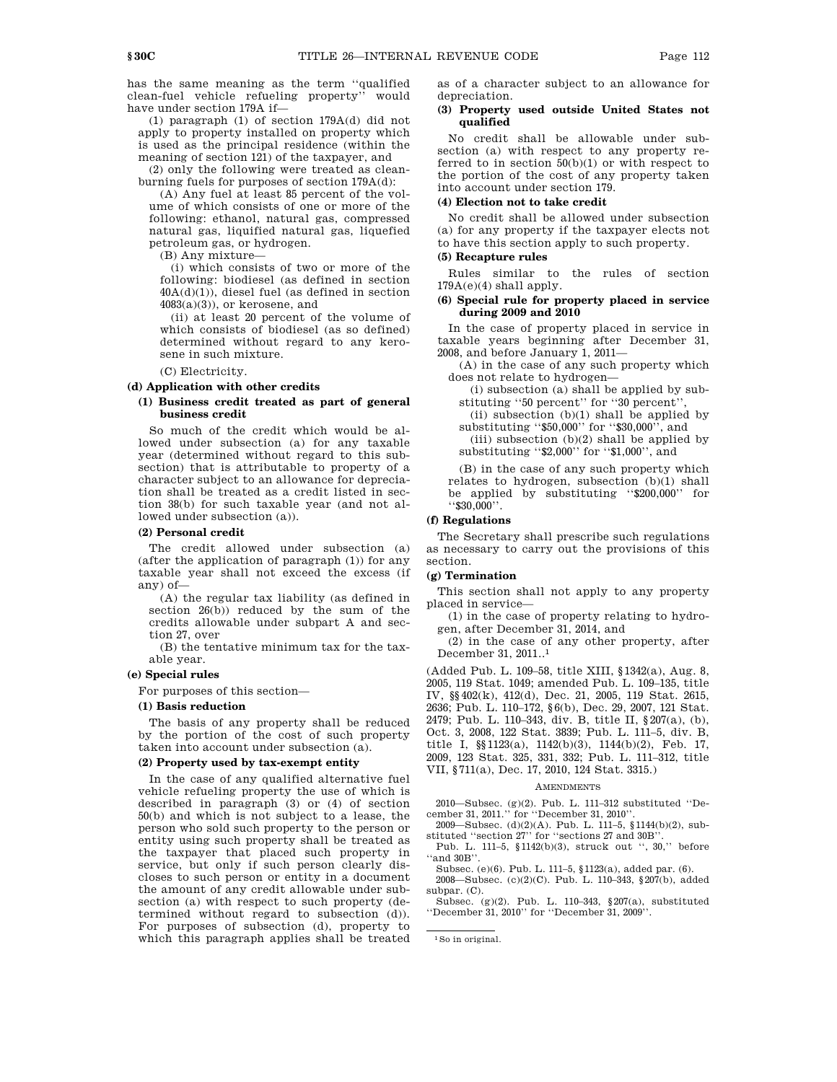has the same meaning as the term ''qualified clean-fuel vehicle refueling property'' would have under section 179A if—

(1) paragraph (1) of section 179A(d) did not apply to property installed on property which is used as the principal residence (within the meaning of section 121) of the taxpayer, and

(2) only the following were treated as cleanburning fuels for purposes of section 179A(d):

(A) Any fuel at least 85 percent of the volume of which consists of one or more of the following: ethanol, natural gas, compressed natural gas, liquified natural gas, liquefied petroleum gas, or hydrogen.

(B) Any mixture—

(i) which consists of two or more of the following: biodiesel (as defined in section  $40A(d)(1)$ , diesel fuel (as defined in section 4083(a)(3)), or kerosene, and

(ii) at least 20 percent of the volume of which consists of biodiesel (as so defined) determined without regard to any kerosene in such mixture.

(C) Electricity.

**(d) Application with other credits**

## **(1) Business credit treated as part of general business credit**

So much of the credit which would be allowed under subsection (a) for any taxable year (determined without regard to this subsection) that is attributable to property of a character subject to an allowance for depreciation shall be treated as a credit listed in section 38(b) for such taxable year (and not allowed under subsection (a)).

### **(2) Personal credit**

The credit allowed under subsection (a) (after the application of paragraph (1)) for any taxable year shall not exceed the excess (if any) of—

(A) the regular tax liability (as defined in section 26(b)) reduced by the sum of the credits allowable under subpart A and section 27, over

(B) the tentative minimum tax for the taxable year.

## **(e) Special rules**

For purposes of this section—

#### **(1) Basis reduction**

The basis of any property shall be reduced by the portion of the cost of such property taken into account under subsection (a).

### **(2) Property used by tax-exempt entity**

In the case of any qualified alternative fuel vehicle refueling property the use of which is described in paragraph (3) or (4) of section 50(b) and which is not subject to a lease, the person who sold such property to the person or entity using such property shall be treated as the taxpayer that placed such property in service, but only if such person clearly discloses to such person or entity in a document the amount of any credit allowable under subsection (a) with respect to such property (determined without regard to subsection (d)). For purposes of subsection (d), property to which this paragraph applies shall be treated as of a character subject to an allowance for depreciation.

### **(3) Property used outside United States not qualified**

No credit shall be allowable under subsection (a) with respect to any property referred to in section  $50(b)(1)$  or with respect to the portion of the cost of any property taken into account under section 179.

## **(4) Election not to take credit**

No credit shall be allowed under subsection (a) for any property if the taxpayer elects not to have this section apply to such property.

#### **(5) Recapture rules**

Rules similar to the rules of section 179A(e)(4) shall apply.

### **(6) Special rule for property placed in service during 2009 and 2010**

In the case of property placed in service in taxable years beginning after December 31, 2008, and before January 1, 2011—

(A) in the case of any such property which does not relate to hydrogen—

(i) subsection (a) shall be applied by substituting "50 percent" for "30 percent"

(ii) subsection  $(b)(1)$  shall be applied by substituting "\$50,000" for "\$30,000", and

(iii) subsection  $(b)(2)$  shall be applied by substituting ''\$2,000'' for ''\$1,000'', and

(B) in the case of any such property which relates to hydrogen, subsection (b)(1) shall be applied by substituting ''\$200,000'' for ''\$30,000''.

#### **(f) Regulations**

The Secretary shall prescribe such regulations as necessary to carry out the provisions of this section.

### **(g) Termination**

This section shall not apply to any property placed in service—

(1) in the case of property relating to hydrogen, after December 31, 2014, and

(2) in the case of any other property, after December 31, 2011..1

(Added Pub. L. 109–58, title XIII, §1342(a), Aug. 8, 2005, 119 Stat. 1049; amended Pub. L. 109–135, title IV, §§402(k), 412(d), Dec. 21, 2005, 119 Stat. 2615, 2636; Pub. L. 110–172, §6(b), Dec. 29, 2007, 121 Stat. 2479; Pub. L. 110–343, div. B, title II, §207(a), (b), Oct. 3, 2008, 122 Stat. 3839; Pub. L. 111–5, div. B, title I, §§1123(a), 1142(b)(3), 1144(b)(2), Feb. 17, 2009, 123 Stat. 325, 331, 332; Pub. L. 111–312, title VII, §711(a), Dec. 17, 2010, 124 Stat. 3315.)

#### AMENDMENTS

2010—Subsec. (g)(2). Pub. L. 111–312 substituted ''December 31, 2011.'' for ''December 31, 2010''.

2009—Subsec. (d)(2)(A). Pub. L. 111–5, §1144(b)(2), substituted ''section 27'' for ''sections 27 and 30B''.

Pub. L. 111–5, §1142(b)(3), struck out '', 30,'' before ''and 30B''.

Subsec. (e)(6). Pub. L. 111–5, §1123(a), added par. (6).

2008—Subsec. (c)(2)(C). Pub. L. 110–343, §207(b), added subpar. (C).

Subsec. (g)(2). Pub. L. 110–343, §207(a), substituted ''December 31, 2010'' for ''December 31, 2009''.

<sup>1</sup>So in original.